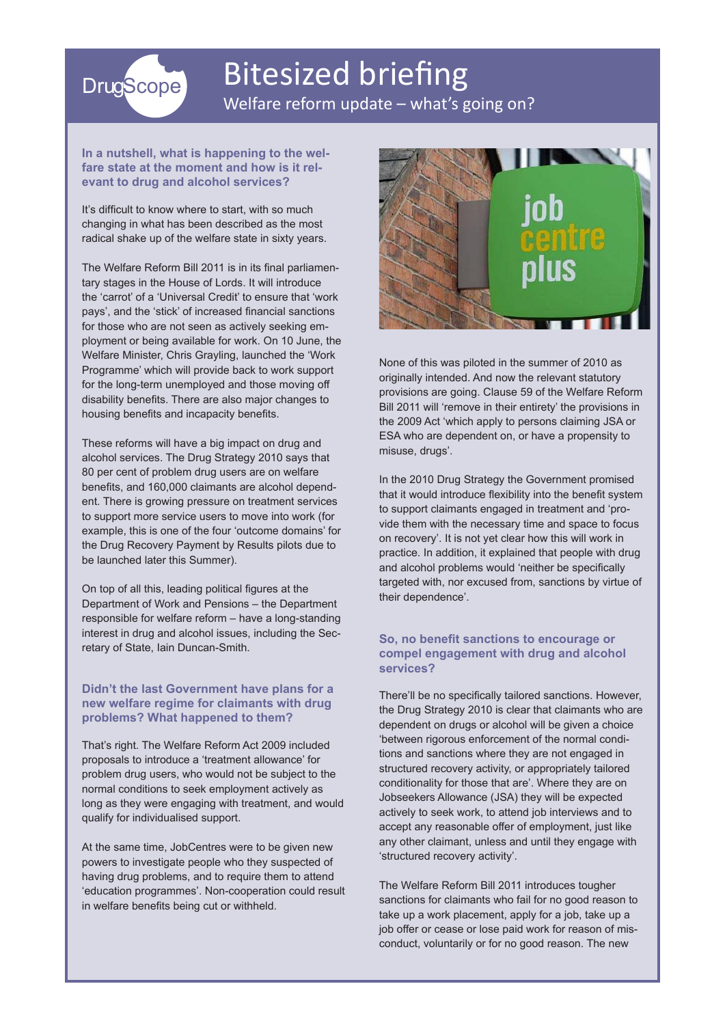# **DrugScope**

### Bitesized briefing Welfare reform update – what's going on?

### **In a nutshell, what is happening to the welfare state at the moment and how is it relevant to drug and alcohol services?**

It's difficult to know where to start, with so much changing in what has been described as the most radical shake up of the welfare state in sixty years.

The Welfare Reform Bill 2011 is in its final parliamentary stages in the House of Lords. It will introduce the 'carrot' of a 'Universal Credit' to ensure that 'work pays', and the 'stick' of increased financial sanctions for those who are not seen as actively seeking employment or being available for work. On 10 June, the Welfare Minister, Chris Grayling, launched the 'Work Programme' which will provide back to work support for the long-term unemployed and those moving off disability benefits. There are also major changes to housing benefits and incapacity benefits.

These reforms will have a big impact on drug and alcohol services. The Drug Strategy 2010 says that 80 per cent of problem drug users are on welfare benefits, and 160,000 claimants are alcohol dependent. There is growing pressure on treatment services to support more service users to move into work (for example, this is one of the four 'outcome domains' for the Drug Recovery Payment by Results pilots due to be launched later this Summer).

On top of all this, leading political figures at the Department of Work and Pensions – the Department responsible for welfare reform – have a long-standing interest in drug and alcohol issues, including the Secretary of State, Iain Duncan-Smith.

### **Didn't the last Government have plans for a new welfare regime for claimants with drug problems? What happened to them?**

That's right. The Welfare Reform Act 2009 included proposals to introduce a 'treatment allowance' for problem drug users, who would not be subject to the normal conditions to seek employment actively as long as they were engaging with treatment, and would qualify for individualised support.

At the same time, JobCentres were to be given new powers to investigate people who they suspected of having drug problems, and to require them to attend 'education programmes'. Non-cooperation could result in welfare benefits being cut or withheld.



None of this was piloted in the summer of 2010 as originally intended. And now the relevant statutory provisions are going. Clause 59 of the Welfare Reform Bill 2011 will 'remove in their entirety' the provisions in the 2009 Act 'which apply to persons claiming JSA or ESA who are dependent on, or have a propensity to misuse, drugs'.

In the 2010 Drug Strategy the Government promised that it would introduce flexibility into the benefit system to support claimants engaged in treatment and 'provide them with the necessary time and space to focus on recovery'. It is not yet clear how this will work in practice. In addition, it explained that people with drug and alcohol problems would 'neither be specifically targeted with, nor excused from, sanctions by virtue of their dependence'.

### **So, no benefit sanctions to encourage or compel engagement with drug and alcohol services?**

There'll be no specifically tailored sanctions. However, the Drug Strategy 2010 is clear that claimants who are dependent on drugs or alcohol will be given a choice 'between rigorous enforcement of the normal conditions and sanctions where they are not engaged in structured recovery activity, or appropriately tailored conditionality for those that are'. Where they are on Jobseekers Allowance (JSA) they will be expected actively to seek work, to attend job interviews and to accept any reasonable offer of employment, just like any other claimant, unless and until they engage with 'structured recovery activity'.

The Welfare Reform Bill 2011 introduces tougher sanctions for claimants who fail for no good reason to take up a work placement, apply for a job, take up a job offer or cease or lose paid work for reason of misconduct, voluntarily or for no good reason. The new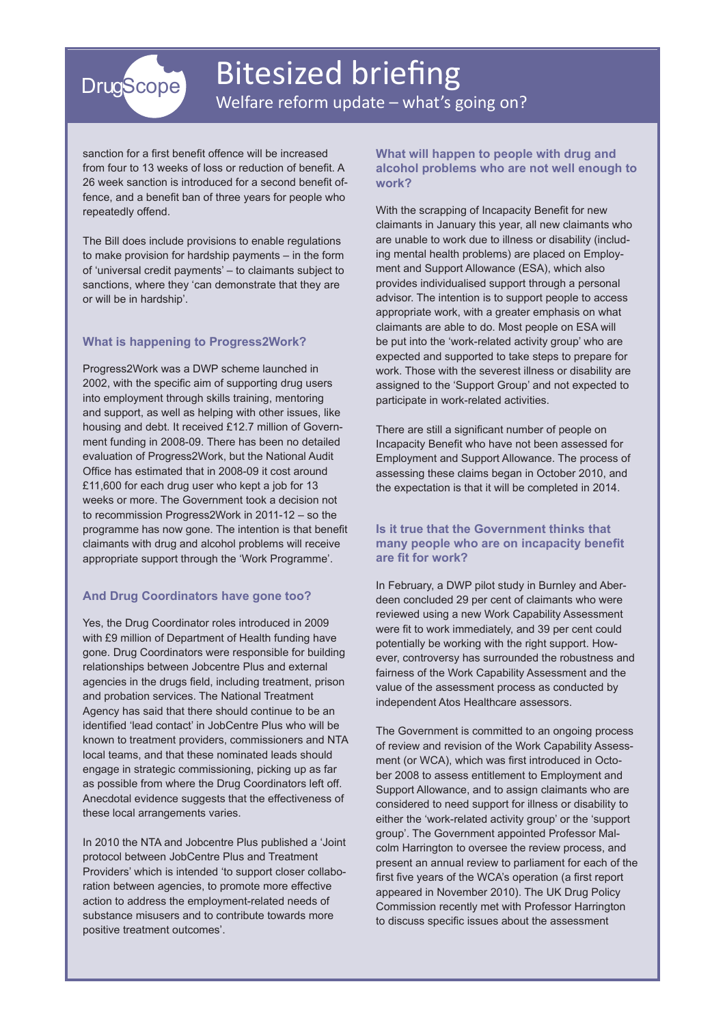

### Bitesized briefing Welfare reform update – what's going on?

sanction for a first benefit offence will be increased from four to 13 weeks of loss or reduction of benefit. A 26 week sanction is introduced for a second benefit offence, and a benefit ban of three years for people who repeatedly offend.

The Bill does include provisions to enable regulations to make provision for hardship payments – in the form of 'universal credit payments' – to claimants subject to sanctions, where they 'can demonstrate that they are or will be in hardship'.

### **What is happening to Progress2Work?**

Progress2Work was a DWP scheme launched in 2002, with the specific aim of supporting drug users into employment through skills training, mentoring and support, as well as helping with other issues, like housing and debt. It received £12.7 million of Government funding in 2008-09. There has been no detailed evaluation of Progress2Work, but the National Audit Office has estimated that in 2008-09 it cost around £11,600 for each drug user who kept a job for 13 weeks or more. The Government took a decision not to recommission Progress2Work in 2011-12 – so the programme has now gone. The intention is that benefit claimants with drug and alcohol problems will receive appropriate support through the 'Work Programme'.

### **And Drug Coordinators have gone too?**

Yes, the Drug Coordinator roles introduced in 2009 with £9 million of Department of Health funding have gone. Drug Coordinators were responsible for building relationships between Jobcentre Plus and external agencies in the drugs field, including treatment, prison and probation services. The National Treatment Agency has said that there should continue to be an identified 'lead contact' in JobCentre Plus who will be known to treatment providers, commissioners and NTA local teams, and that these nominated leads should engage in strategic commissioning, picking up as far as possible from where the Drug Coordinators left off. Anecdotal evidence suggests that the effectiveness of these local arrangements varies.

In 2010 the NTA and Jobcentre Plus published a 'Joint protocol between JobCentre Plus and Treatment Providers' which is intended 'to support closer collaboration between agencies, to promote more effective action to address the employment-related needs of substance misusers and to contribute towards more positive treatment outcomes'.

#### **What will happen to people with drug and alcohol problems who are not well enough to work?**

With the scrapping of Incapacity Benefit for new claimants in January this year, all new claimants who are unable to work due to illness or disability (including mental health problems) are placed on Employment and Support Allowance (ESA), which also provides individualised support through a personal advisor. The intention is to support people to access appropriate work, with a greater emphasis on what claimants are able to do. Most people on ESA will be put into the 'work-related activity group' who are expected and supported to take steps to prepare for work. Those with the severest illness or disability are assigned to the 'Support Group' and not expected to participate in work-related activities.

There are still a significant number of people on Incapacity Benefit who have not been assessed for Employment and Support Allowance. The process of assessing these claims began in October 2010, and the expectation is that it will be completed in 2014.

### **Is it true that the Government thinks that many people who are on incapacity benefit are fit for work?**

In February, a DWP pilot study in Burnley and Aberdeen concluded 29 per cent of claimants who were reviewed using a new Work Capability Assessment were fit to work immediately, and 39 per cent could potentially be working with the right support. However, controversy has surrounded the robustness and fairness of the Work Capability Assessment and the value of the assessment process as conducted by independent Atos Healthcare assessors.

The Government is committed to an ongoing process of review and revision of the Work Capability Assessment (or WCA), which was first introduced in October 2008 to assess entitlement to Employment and Support Allowance, and to assign claimants who are considered to need support for illness or disability to either the 'work-related activity group' or the 'support group'. The Government appointed Professor Malcolm Harrington to oversee the review process, and present an annual review to parliament for each of the first five years of the WCA's operation (a first report appeared in November 2010). The UK Drug Policy Commission recently met with Professor Harrington to discuss specific issues about the assessment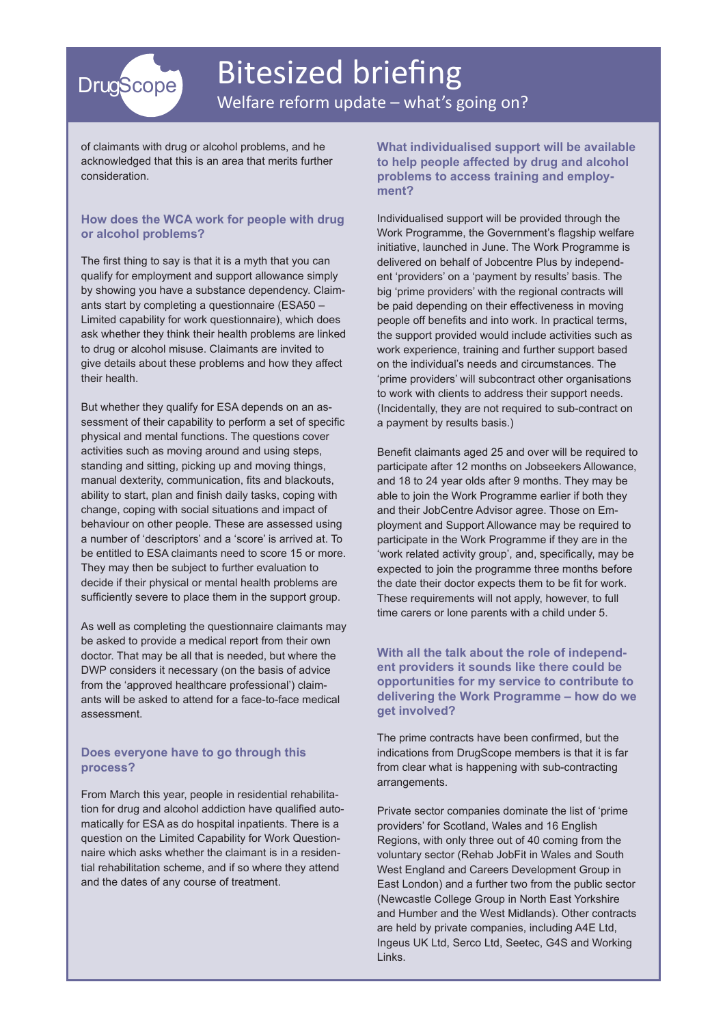

### Bitesized briefing Welfare reform update – what's going on?

of claimants with drug or alcohol problems, and he acknowledged that this is an area that merits further consideration.

### **How does the WCA work for people with drug or alcohol problems?**

The first thing to say is that it is a myth that you can qualify for employment and support allowance simply by showing you have a substance dependency. Claimants start by completing a questionnaire (ESA50 – Limited capability for work questionnaire), which does ask whether they think their health problems are linked to drug or alcohol misuse. Claimants are invited to give details about these problems and how they affect their health.

But whether they qualify for ESA depends on an assessment of their capability to perform a set of specific physical and mental functions. The questions cover activities such as moving around and using steps, standing and sitting, picking up and moving things, manual dexterity, communication, fits and blackouts, ability to start, plan and finish daily tasks, coping with change, coping with social situations and impact of behaviour on other people. These are assessed using a number of 'descriptors' and a 'score' is arrived at. To be entitled to ESA claimants need to score 15 or more. They may then be subject to further evaluation to decide if their physical or mental health problems are sufficiently severe to place them in the support group.

As well as completing the questionnaire claimants may be asked to provide a medical report from their own doctor. That may be all that is needed, but where the DWP considers it necessary (on the basis of advice from the 'approved healthcare professional') claimants will be asked to attend for a face-to-face medical assessment.

#### **Does everyone have to go through this process?**

From March this year, people in residential rehabilitation for drug and alcohol addiction have qualified automatically for ESA as do hospital inpatients. There is a question on the Limited Capability for Work Questionnaire which asks whether the claimant is in a residential rehabilitation scheme, and if so where they attend and the dates of any course of treatment.

**What individualised support will be available to help people affected by drug and alcohol problems to access training and employment?**

Individualised support will be provided through the Work Programme, the Government's flagship welfare initiative, launched in June. The Work Programme is delivered on behalf of Jobcentre Plus by independent 'providers' on a 'payment by results' basis. The big 'prime providers' with the regional contracts will be paid depending on their effectiveness in moving people off benefits and into work. In practical terms, the support provided would include activities such as work experience, training and further support based on the individual's needs and circumstances. The 'prime providers' will subcontract other organisations to work with clients to address their support needs. (Incidentally, they are not required to sub-contract on a payment by results basis.)

Benefit claimants aged 25 and over will be required to participate after 12 months on Jobseekers Allowance, and 18 to 24 year olds after 9 months. They may be able to join the Work Programme earlier if both they and their JobCentre Advisor agree. Those on Employment and Support Allowance may be required to participate in the Work Programme if they are in the 'work related activity group', and, specifically, may be expected to join the programme three months before the date their doctor expects them to be fit for work. These requirements will not apply, however, to full time carers or lone parents with a child under 5.

### **With all the talk about the role of independent providers it sounds like there could be opportunities for my service to contribute to delivering the Work Programme – how do we get involved?**

The prime contracts have been confirmed, but the indications from DrugScope members is that it is far from clear what is happening with sub-contracting arrangements.

Private sector companies dominate the list of 'prime providers' for Scotland, Wales and 16 English Regions, with only three out of 40 coming from the voluntary sector (Rehab JobFit in Wales and South West England and Careers Development Group in East London) and a further two from the public sector (Newcastle College Group in North East Yorkshire and Humber and the West Midlands). Other contracts are held by private companies, including A4E Ltd, Ingeus UK Ltd, Serco Ltd, Seetec, G4S and Working Links.